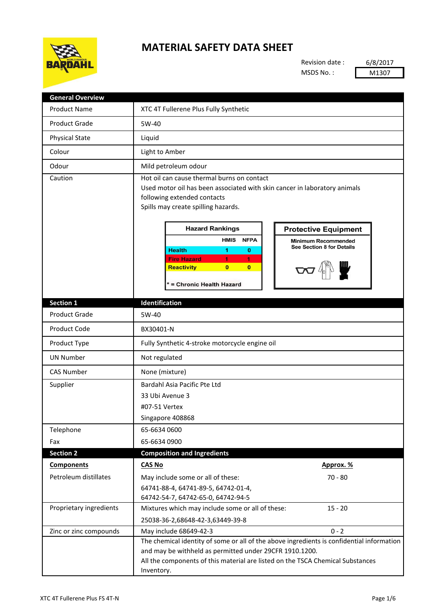

## **MATERIAL SAFETY DATA SHEET**

Revision date : MSDS No. :

6/8/2017 M1307

| <b>General Overview</b> |                                                                                                                                                                                                                                                                                                                                                                                                                                                                                                    |
|-------------------------|----------------------------------------------------------------------------------------------------------------------------------------------------------------------------------------------------------------------------------------------------------------------------------------------------------------------------------------------------------------------------------------------------------------------------------------------------------------------------------------------------|
| <b>Product Name</b>     | XTC 4T Fullerene Plus Fully Synthetic                                                                                                                                                                                                                                                                                                                                                                                                                                                              |
| <b>Product Grade</b>    | 5W-40                                                                                                                                                                                                                                                                                                                                                                                                                                                                                              |
| <b>Physical State</b>   | Liquid                                                                                                                                                                                                                                                                                                                                                                                                                                                                                             |
| Colour                  | Light to Amber                                                                                                                                                                                                                                                                                                                                                                                                                                                                                     |
| Odour                   | Mild petroleum odour                                                                                                                                                                                                                                                                                                                                                                                                                                                                               |
| Caution                 | Hot oil can cause thermal burns on contact<br>Used motor oil has been associated with skin cancer in laboratory animals<br>following extended contacts<br>Spills may create spilling hazards.<br><b>Hazard Rankings</b><br><b>Protective Equipment</b><br><b>HMIS</b><br><b>NFPA</b><br><b>Minimum Recommended</b><br>See Section 8 for Details<br><b>Health</b><br>1<br>$\bf o$<br><b>Fire Hazard</b><br>1<br>1<br>$\overline{0}$<br>$\mathbf{0}$<br><b>Reactivity</b><br>= Chronic Health Hazard |
| Section 1               | Identification                                                                                                                                                                                                                                                                                                                                                                                                                                                                                     |
| <b>Product Grade</b>    | 5W-40                                                                                                                                                                                                                                                                                                                                                                                                                                                                                              |
| Product Code            | BX30401-N                                                                                                                                                                                                                                                                                                                                                                                                                                                                                          |
| Product Type            | Fully Synthetic 4-stroke motorcycle engine oil                                                                                                                                                                                                                                                                                                                                                                                                                                                     |
| <b>UN Number</b>        | Not regulated                                                                                                                                                                                                                                                                                                                                                                                                                                                                                      |
|                         |                                                                                                                                                                                                                                                                                                                                                                                                                                                                                                    |
| <b>CAS Number</b>       | None (mixture)<br>Bardahl Asia Pacific Pte Ltd                                                                                                                                                                                                                                                                                                                                                                                                                                                     |
| Supplier                | 33 Ubi Avenue 3<br>#07-51 Vertex<br>Singapore 408868                                                                                                                                                                                                                                                                                                                                                                                                                                               |
| Telephone               | 65-6634 0600                                                                                                                                                                                                                                                                                                                                                                                                                                                                                       |
| Fax                     | 65-6634 0900                                                                                                                                                                                                                                                                                                                                                                                                                                                                                       |
| <b>Section 2</b>        | <b>Composition and Ingredients</b>                                                                                                                                                                                                                                                                                                                                                                                                                                                                 |
| <b>Components</b>       | <b>CAS No</b><br>Approx. %                                                                                                                                                                                                                                                                                                                                                                                                                                                                         |
| Petroleum distillates   | May include some or all of these:<br>$70 - 80$<br>64741-88-4, 64741-89-5, 64742-01-4,<br>64742-54-7, 64742-65-0, 64742-94-5                                                                                                                                                                                                                                                                                                                                                                        |
| Proprietary ingredients | $15 - 20$<br>Mixtures which may include some or all of these:<br>25038-36-2,68648-42-3,63449-39-8                                                                                                                                                                                                                                                                                                                                                                                                  |
| Zinc or zinc compounds  | May include 68649-42-3<br>$0 - 2$                                                                                                                                                                                                                                                                                                                                                                                                                                                                  |
|                         | The chemical identity of some or all of the above ingredients is confidential information<br>and may be withheld as permitted under 29CFR 1910.1200.<br>All the components of this material are listed on the TSCA Chemical Substances<br>Inventory.                                                                                                                                                                                                                                               |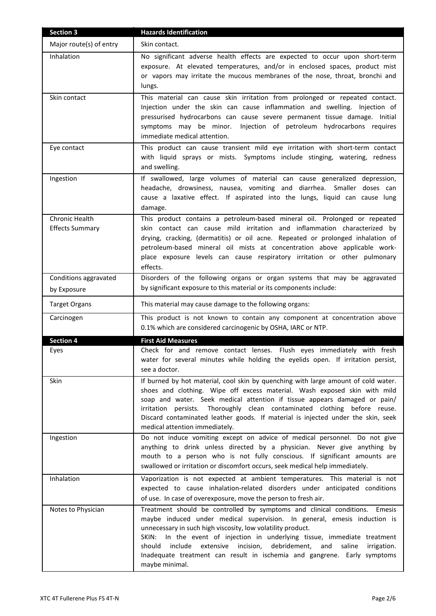| <b>Section 3</b>                         | <b>Hazards Identification</b>                                                                                                                                                                                                                                                                                                                                                                                                                                                                      |
|------------------------------------------|----------------------------------------------------------------------------------------------------------------------------------------------------------------------------------------------------------------------------------------------------------------------------------------------------------------------------------------------------------------------------------------------------------------------------------------------------------------------------------------------------|
| Major route(s) of entry                  | Skin contact.                                                                                                                                                                                                                                                                                                                                                                                                                                                                                      |
| Inhalation                               | No significant adverse health effects are expected to occur upon short-term<br>exposure. At elevated temperatures, and/or in enclosed spaces, product mist<br>or vapors may irritate the mucous membranes of the nose, throat, bronchi and<br>lungs.                                                                                                                                                                                                                                               |
| Skin contact                             | This material can cause skin irritation from prolonged or repeated contact.<br>Injection under the skin can cause inflammation and swelling. Injection of<br>pressurised hydrocarbons can cause severe permanent tissue damage. Initial<br>symptoms may be minor. Injection of petroleum hydrocarbons requires<br>immediate medical attention.                                                                                                                                                     |
| Eye contact                              | This product can cause transient mild eye irritation with short-term contact<br>with liquid sprays or mists. Symptoms include stinging, watering, redness<br>and swelling.                                                                                                                                                                                                                                                                                                                         |
| Ingestion                                | If swallowed, large volumes of material can cause generalized depression,<br>headache, drowsiness, nausea, vomiting and diarrhea. Smaller doses can<br>cause a laxative effect. If aspirated into the lungs, liquid can cause lung<br>damage.                                                                                                                                                                                                                                                      |
| Chronic Health<br><b>Effects Summary</b> | This product contains a petroleum-based mineral oil. Prolonged or repeated<br>skin contact can cause mild irritation and inflammation characterized by<br>drying, cracking, (dermatitis) or oil acne. Repeated or prolonged inhalation of<br>petroleum-based mineral oil mists at concentration above applicable work-<br>place exposure levels can cause respiratory irritation or other pulmonary<br>effects.                                                                                    |
| Conditions aggravated                    | Disorders of the following organs or organ systems that may be aggravated                                                                                                                                                                                                                                                                                                                                                                                                                          |
| by Exposure                              | by significant exposure to this material or its components include:                                                                                                                                                                                                                                                                                                                                                                                                                                |
| <b>Target Organs</b>                     | This material may cause damage to the following organs:                                                                                                                                                                                                                                                                                                                                                                                                                                            |
| Carcinogen                               | This product is not known to contain any component at concentration above<br>0.1% which are considered carcinogenic by OSHA, IARC or NTP.                                                                                                                                                                                                                                                                                                                                                          |
| <b>Section 4</b>                         | <b>First Aid Measures</b>                                                                                                                                                                                                                                                                                                                                                                                                                                                                          |
| Eyes                                     | Check for and remove contact lenses. Flush eyes immediately with fresh<br>water for several minutes while holding the eyelids open. If irritation persist,<br>see a doctor.                                                                                                                                                                                                                                                                                                                        |
| Skin                                     | If burned by hot material, cool skin by quenching with large amount of cold water.<br>shoes and clothing. Wipe off excess material. Wash exposed skin with mild<br>soap and water. Seek medical attention if tissue appears damaged or pain/<br>irritation persists. Thoroughly clean contaminated clothing before reuse.<br>Discard contaminated leather goods. If material is injected under the skin, seek<br>medical attention immediately.                                                    |
| Ingestion                                | Do not induce vomiting except on advice of medical personnel. Do not give<br>anything to drink unless directed by a physician. Never give anything by<br>mouth to a person who is not fully conscious. If significant amounts are<br>swallowed or irritation or discomfort occurs, seek medical help immediately.                                                                                                                                                                                  |
| Inhalation                               | Vaporization is not expected at ambient temperatures. This material is not<br>expected to cause inhalation-related disorders under anticipated conditions<br>of use. In case of overexposure, move the person to fresh air.                                                                                                                                                                                                                                                                        |
| Notes to Physician                       | Treatment should be controlled by symptoms and clinical conditions.<br>Emesis<br>maybe induced under medical supervision. In general, emesis induction is<br>unnecessary in such high viscosity, low volatility product.<br>In the event of injection in underlying tissue, immediate treatment<br>SKIN:<br>debridement,<br>should<br>include<br>extensive incision,<br>and<br>saline<br>irrigation.<br>Inadequate treatment can result in ischemia and gangrene. Early symptoms<br>maybe minimal. |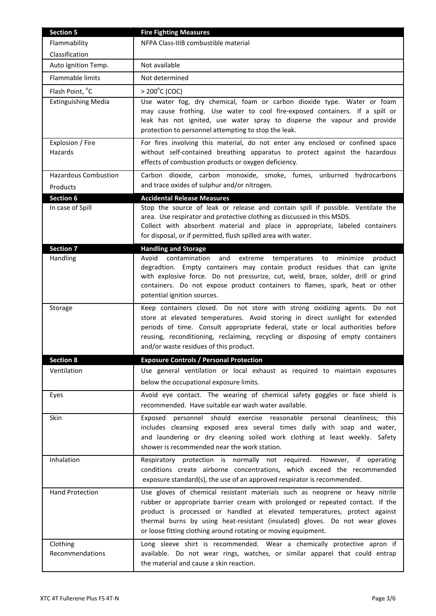| <b>Section 5</b>                        | <b>Fire Fighting Measures</b>                                                                                                                                                                                                                                                                                                                                                                 |
|-----------------------------------------|-----------------------------------------------------------------------------------------------------------------------------------------------------------------------------------------------------------------------------------------------------------------------------------------------------------------------------------------------------------------------------------------------|
| Flammability                            | NFPA Class-IIIB combustible material                                                                                                                                                                                                                                                                                                                                                          |
| Classification                          |                                                                                                                                                                                                                                                                                                                                                                                               |
| Auto Ignition Temp.                     | Not available                                                                                                                                                                                                                                                                                                                                                                                 |
| Flammable limits                        | Not determined                                                                                                                                                                                                                                                                                                                                                                                |
| Flash Point, °C                         | $> 200^{\circ}$ C (COC)                                                                                                                                                                                                                                                                                                                                                                       |
| <b>Extinguishing Media</b>              | Use water fog, dry chemical, foam or carbon dioxide type. Water or foam<br>may cause frothing. Use water to cool fire-exposed containers. If a spill or<br>leak has not ignited, use water spray to disperse the vapour and provide<br>protection to personnel attempting to stop the leak.                                                                                                   |
| Explosion / Fire<br>Hazards             | For fires involving this material, do not enter any enclosed or confined space<br>without self-contained breathing apparatus to protect against the hazardous<br>effects of combustion products or oxygen deficiency.                                                                                                                                                                         |
| <b>Hazardous Combustion</b><br>Products | Carbon dioxide, carbon monoxide, smoke, fumes, unburned hydrocarbons<br>and trace oxides of sulphur and/or nitrogen.                                                                                                                                                                                                                                                                          |
| <b>Section 6</b>                        | <b>Accidental Release Measures</b>                                                                                                                                                                                                                                                                                                                                                            |
| In case of Spill                        | Stop the source of leak or release and contain spill if possible. Ventilate the<br>area. Use respirator and protective clothing as discussed in this MSDS.<br>Collect with absorbent material and place in appropriate, labeled containers<br>for disposal, or if permitted, flush spilled area with water.                                                                                   |
| <b>Section 7</b>                        | <b>Handling and Storage</b>                                                                                                                                                                                                                                                                                                                                                                   |
| Handling                                | Avoid contamination<br>and<br>extreme<br>temperatures<br>minimize<br>product<br>to<br>degradtion. Empty containers may contain product residues that can ignite<br>with explosive force. Do not pressurize, cut, weld, braze, solder, drill or grind<br>containers. Do not expose product containers to flames, spark, heat or other<br>potential ignition sources.                           |
| Storage                                 | Keep containers closed. Do not store with strong oxidizing agents. Do not<br>store at elevated temperatures. Avoid storing in direct sunlight for extended<br>periods of time. Consult appropriate federal, state or local authorities before<br>reusing, reconditioning, reclaiming, recycling or disposing of empty containers<br>and/or waste residues of this product.                    |
| <b>Section 8</b>                        | <b>Exposure Controls / Personal Protection</b>                                                                                                                                                                                                                                                                                                                                                |
| Ventilation                             | Use general ventilation or local exhaust as required to maintain exposures<br>below the occupational exposure limits.                                                                                                                                                                                                                                                                         |
| Eyes                                    | Avoid eye contact. The wearing of chemical safety goggles or face shield is<br>recommended. Have suitable ear wash water available.                                                                                                                                                                                                                                                           |
| Skin                                    | personnel should exercise reasonable personal cleanliness; this<br>Exposed<br>includes cleansing exposed area several times daily with soap and water,<br>and laundering or dry cleaning soiled work clothing at least weekly. Safety<br>shower is recommended near the work station.                                                                                                         |
| Inhalation                              | Respiratory protection is normally not required. However, if operating<br>conditions create airborne concentrations, which exceed the recommended<br>exposure standard(s), the use of an approved respirator is recommended.                                                                                                                                                                  |
| <b>Hand Protection</b>                  | Use gloves of chemical resistant materials such as neoprene or heavy nitrile<br>rubber or appropriate barrier cream with prolonged or repeated contact. If the<br>product is processed or handled at elevated temperatures, protect against<br>thermal burns by using heat-resistant (insulated) gloves. Do not wear gloves<br>or loose fitting clothing around rotating or moving equipment. |
| Clothing<br>Recommendations             | Long sleeve shirt is recommended. Wear a chemically protective apron if<br>available. Do not wear rings, watches, or similar apparel that could entrap<br>the material and cause a skin reaction.                                                                                                                                                                                             |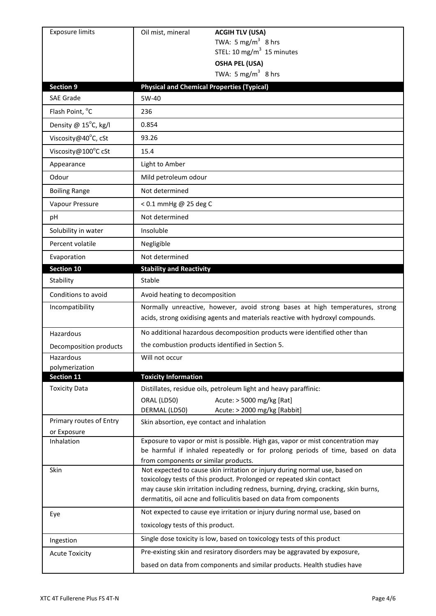| <b>Exposure limits</b>                 | Oil mist, mineral<br><b>ACGIH TLV (USA)</b>                                                                                                                                                                                                                                                                       |
|----------------------------------------|-------------------------------------------------------------------------------------------------------------------------------------------------------------------------------------------------------------------------------------------------------------------------------------------------------------------|
|                                        | TWA: 5 mg/m <sup>3</sup> 8 hrs                                                                                                                                                                                                                                                                                    |
|                                        | STEL: 10 mg/m $3$ 15 minutes                                                                                                                                                                                                                                                                                      |
|                                        | <b>OSHA PEL (USA)</b><br>TWA: $5 \text{ mg/m}^3$ 8 hrs                                                                                                                                                                                                                                                            |
| <b>Section 9</b>                       | <b>Physical and Chemical Properties (Typical)</b>                                                                                                                                                                                                                                                                 |
| <b>SAE Grade</b>                       | 5W-40                                                                                                                                                                                                                                                                                                             |
| Flash Point, °C                        | 236                                                                                                                                                                                                                                                                                                               |
| Density @ 15°C, kg/l                   | 0.854                                                                                                                                                                                                                                                                                                             |
| Viscosity@40°C, cSt                    | 93.26                                                                                                                                                                                                                                                                                                             |
| Viscosity@100°C cSt                    | 15.4                                                                                                                                                                                                                                                                                                              |
| Appearance                             | Light to Amber                                                                                                                                                                                                                                                                                                    |
| Odour                                  | Mild petroleum odour                                                                                                                                                                                                                                                                                              |
| <b>Boiling Range</b>                   | Not determined                                                                                                                                                                                                                                                                                                    |
| Vapour Pressure                        | < 0.1 mmHg @ 25 deg C                                                                                                                                                                                                                                                                                             |
| рH                                     | Not determined                                                                                                                                                                                                                                                                                                    |
| Solubility in water                    | Insoluble                                                                                                                                                                                                                                                                                                         |
| Percent volatile                       | Negligible                                                                                                                                                                                                                                                                                                        |
| Evaporation                            | Not determined                                                                                                                                                                                                                                                                                                    |
| Section 10                             | <b>Stability and Reactivity</b>                                                                                                                                                                                                                                                                                   |
| Stability                              | Stable                                                                                                                                                                                                                                                                                                            |
| Conditions to avoid                    | Avoid heating to decomposition                                                                                                                                                                                                                                                                                    |
| Incompatibility                        | Normally unreactive, however, avoid strong bases at high temperatures, strong<br>acids, strong oxidising agents and materials reactive with hydroxyl compounds.                                                                                                                                                   |
| Hazardous                              | No additional hazardous decomposition products were identified other than                                                                                                                                                                                                                                         |
| Decomposition products                 | the combustion products identified in Section 5.                                                                                                                                                                                                                                                                  |
| Hazardous                              | Will not occur                                                                                                                                                                                                                                                                                                    |
| polymerization<br><b>Section 11</b>    | <b>Toxicity Information</b>                                                                                                                                                                                                                                                                                       |
| <b>Toxicity Data</b>                   | Distillates, residue oils, petroleum light and heavy paraffinic:                                                                                                                                                                                                                                                  |
|                                        | Acute: > 5000 mg/kg [Rat]<br>ORAL (LD50)<br>DERMAL (LD50)<br>Acute: > 2000 mg/kg [Rabbit]                                                                                                                                                                                                                         |
| Primary routes of Entry<br>or Exposure | Skin absortion, eye contact and inhalation                                                                                                                                                                                                                                                                        |
| Inhalation                             | Exposure to vapor or mist is possible. High gas, vapor or mist concentration may<br>be harmful if inhaled repeatedly or for prolong periods of time, based on data<br>from components or similar products.                                                                                                        |
| Skin                                   | Not expected to cause skin irritation or injury during normal use, based on<br>toxicology tests of this product. Prolonged or repeated skin contact<br>may cause skin irritation including redness, burning, drying, cracking, skin burns,<br>dermatitis, oil acne and folliculitis based on data from components |
| Eye                                    | Not expected to cause eye irritation or injury during normal use, based on<br>toxicology tests of this product.                                                                                                                                                                                                   |
| Ingestion                              | Single dose toxicity is low, based on toxicology tests of this product                                                                                                                                                                                                                                            |
| <b>Acute Toxicity</b>                  | Pre-existing skin and resiratory disorders may be aggravated by exposure,                                                                                                                                                                                                                                         |
|                                        | based on data from components and similar products. Health studies have                                                                                                                                                                                                                                           |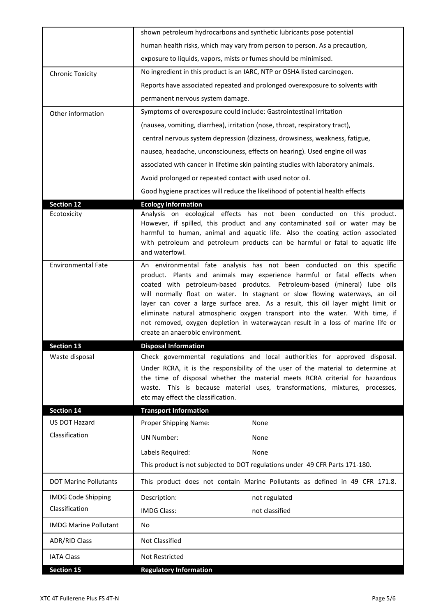| <b>IATA Class</b>                         | Not Restricted                                                                                                                                                                                                                                                                                                                                                                                                                                                                                                                                                        |
|-------------------------------------------|-----------------------------------------------------------------------------------------------------------------------------------------------------------------------------------------------------------------------------------------------------------------------------------------------------------------------------------------------------------------------------------------------------------------------------------------------------------------------------------------------------------------------------------------------------------------------|
| ADR/RID Class                             | <b>Not Classified</b>                                                                                                                                                                                                                                                                                                                                                                                                                                                                                                                                                 |
| <b>IMDG Marine Pollutant</b>              | No                                                                                                                                                                                                                                                                                                                                                                                                                                                                                                                                                                    |
| Classification                            | <b>IMDG Class:</b><br>not classified                                                                                                                                                                                                                                                                                                                                                                                                                                                                                                                                  |
| <b>IMDG Code Shipping</b>                 | Description:<br>not regulated                                                                                                                                                                                                                                                                                                                                                                                                                                                                                                                                         |
| <b>DOT Marine Pollutants</b>              | This product does not contain Marine Pollutants as defined in 49 CFR 171.8.                                                                                                                                                                                                                                                                                                                                                                                                                                                                                           |
|                                           | This product is not subjected to DOT regulations under 49 CFR Parts 171-180.                                                                                                                                                                                                                                                                                                                                                                                                                                                                                          |
|                                           | Labels Required:<br>None                                                                                                                                                                                                                                                                                                                                                                                                                                                                                                                                              |
| Classification                            | <b>UN Number:</b><br>None                                                                                                                                                                                                                                                                                                                                                                                                                                                                                                                                             |
| <b>Section 14</b><br><b>US DOT Hazard</b> | <b>Transport Information</b><br>Proper Shipping Name:<br>None                                                                                                                                                                                                                                                                                                                                                                                                                                                                                                         |
|                                           | the time of disposal whether the material meets RCRA criterial for hazardous<br>waste. This is because material uses, transformations, mixtures, processes,<br>etc may effect the classification.                                                                                                                                                                                                                                                                                                                                                                     |
| Waste disposal                            | Check governmental regulations and local authorities for approved disposal.<br>Under RCRA, it is the responsibility of the user of the material to determine at                                                                                                                                                                                                                                                                                                                                                                                                       |
| <b>Section 13</b>                         | <b>Disposal Information</b>                                                                                                                                                                                                                                                                                                                                                                                                                                                                                                                                           |
|                                           | create an anaerobic environment.                                                                                                                                                                                                                                                                                                                                                                                                                                                                                                                                      |
| <b>Environmental Fate</b>                 | An environmental fate analysis has not been conducted on this specific<br>product. Plants and animals may experience harmful or fatal effects when<br>coated with petroleum-based produtcs. Petroleum-based (mineral) lube oils<br>will normally float on water. In stagnant or slow flowing waterways, an oil<br>layer can cover a large surface area. As a result, this oil layer might limit or<br>eliminate natural atmospheric oxygen transport into the water. With time, if<br>not removed, oxygen depletion in waterwaycan result in a loss of marine life or |
| <b>Section 12</b><br>Ecotoxicity          | <b>Ecology Information</b><br>Analysis on ecological effects has not been conducted on this product.<br>However, if spilled, this product and any contaminated soil or water may be<br>harmful to human, animal and aquatic life. Also the coating action associated<br>with petroleum and petroleum products can be harmful or fatal to aquatic life<br>and waterfowl.                                                                                                                                                                                               |
|                                           | Good hygiene practices will reduce the likelihood of potential health effects                                                                                                                                                                                                                                                                                                                                                                                                                                                                                         |
|                                           | Avoid prolonged or repeated contact with used notor oil.                                                                                                                                                                                                                                                                                                                                                                                                                                                                                                              |
|                                           | associated wth cancer in lifetime skin painting studies with laboratory animals.                                                                                                                                                                                                                                                                                                                                                                                                                                                                                      |
|                                           | nausea, headache, unconsciouness, effects on hearing). Used engine oil was                                                                                                                                                                                                                                                                                                                                                                                                                                                                                            |
|                                           | central nervous system depression (dizziness, drowsiness, weakness, fatigue,                                                                                                                                                                                                                                                                                                                                                                                                                                                                                          |
| Other information                         | (nausea, vomiting, diarrhea), irritation (nose, throat, respiratory tract),                                                                                                                                                                                                                                                                                                                                                                                                                                                                                           |
|                                           | permanent nervous system damage.<br>Symptoms of overexposure could include: Gastrointestinal irritation                                                                                                                                                                                                                                                                                                                                                                                                                                                               |
|                                           | Reports have associated repeated and prolonged overexposure to solvents with                                                                                                                                                                                                                                                                                                                                                                                                                                                                                          |
| <b>Chronic Toxicity</b>                   | No ingredient in this product is an IARC, NTP or OSHA listed carcinogen.                                                                                                                                                                                                                                                                                                                                                                                                                                                                                              |
|                                           | exposure to liquids, vapors, mists or fumes should be minimised.                                                                                                                                                                                                                                                                                                                                                                                                                                                                                                      |
|                                           | human health risks, which may vary from person to person. As a precaution,                                                                                                                                                                                                                                                                                                                                                                                                                                                                                            |
|                                           | shown petroleum hydrocarbons and synthetic lubricants pose potential                                                                                                                                                                                                                                                                                                                                                                                                                                                                                                  |